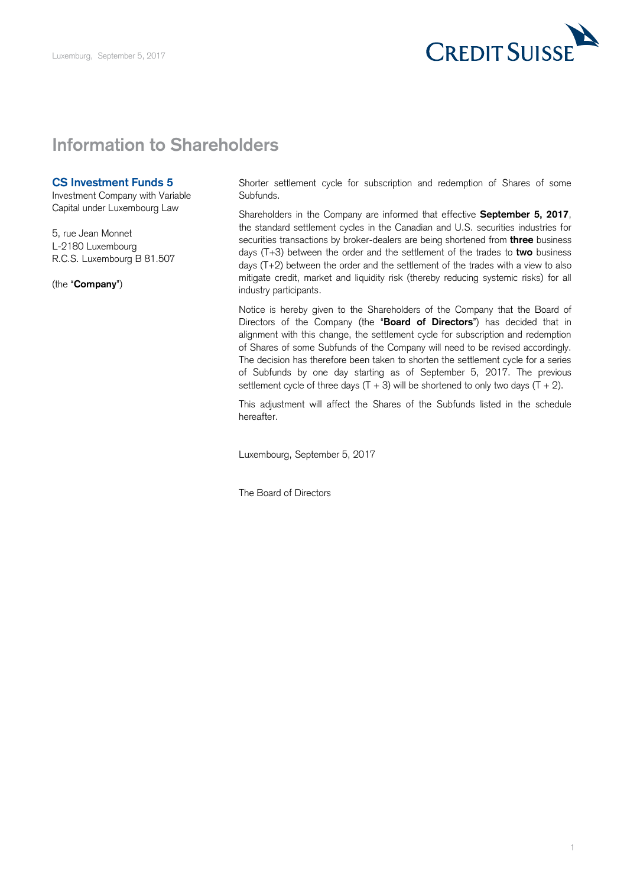

## **Information to Shareholders**

## **CS Investment Funds 5**

Investment Company with Variable Capital under Luxembourg Law

 5, rue Jean Monnet L-2180 Luxembourg R.C.S. Luxembourg B 81.507

(the "**Company**")

 Shorter settlement cycle for subscription and redemption of Shares of some Subfunds.

 Shareholders in the Company are informed that effective **September 5, 2017**, the standard settlement cycles in the Canadian and U.S. securities industries for securities transactions by broker-dealers are being shortened from **three** business days (T+3) between the order and the settlement of the trades to **two** business days (T+2) between the order and the settlement of the trades with a view to also mitigate credit, market and liquidity risk (thereby reducing systemic risks) for all industry participants.

 Notice is hereby given to the Shareholders of the Company that the Board of Directors of the Company (the "**Board of Directors**") has decided that in alignment with this change, the settlement cycle for subscription and redemption of Shares of some Subfunds of the Company will need to be revised accordingly. The decision has therefore been taken to shorten the settlement cycle for a series of Subfunds by one day starting as of September 5, 2017. The previous settlement cycle of three days  $(T + 3)$  will be shortened to only two days  $(T + 2)$ .

 This adjustment will affect the Shares of the Subfunds listed in the schedule hereafter.

Luxembourg, September 5, 2017

The Board of Directors